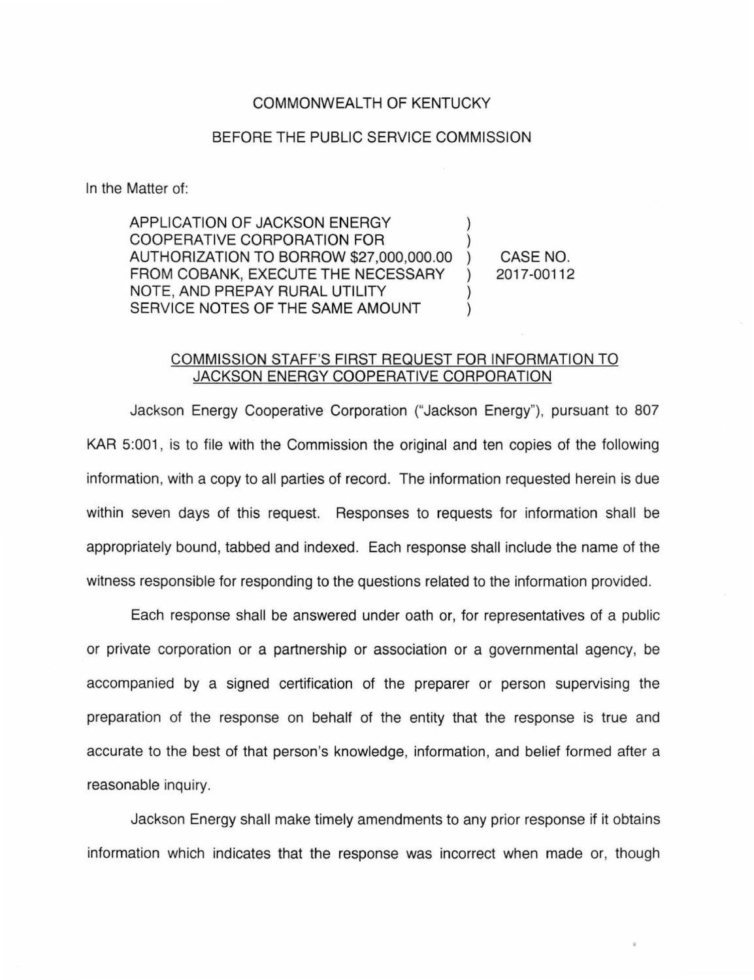## COMMONWEALTH OF KENTUCKY

## BEFORE THE PUBLIC SERVICE COMMISSION

In the Matter of:

APPLICATION OF JACKSON ENERGY COOPERATIVE CORPORATION FOR AUTHORIZATION TO BORROW \$27,000,000.00 FROM COBANK, EXECUTE THE NECESSARY  $\mathcal{L}$ NOTE, AND PREPAY RURAL UTILITY SERVICE NOTES OF THE SAME AMOUNT  $\lambda$ 

CASE NO. 2017-00112

## COMMISSION STAFF'S FIRST REQUEST FOR INFORMATION TO JACKSON ENERGY COOPERATIVE CORPORATION

Jackson Energy Cooperative Corporation ("Jackson Energy"), pursuant to 807 KAR 5:001, is to file with the Commission the original and ten copies of the following information, with a copy to all parties of record. The information requested herein is due within seven days of this request. Responses to requests for information shall be appropriately bound, tabbed and indexed. Each response shall include the name of the witness responsible for responding to the questions related to the information provided.

Each response shall be answered under oath or, for representatives of a public or private corporation or a partnership or association or a governmental agency, be accompanied by a signed certification of the preparer or person supervising the preparation of the response on behalf of the entity that the response is true and accurate to the best of that person's knowledge, information, and belief formed after a reasonable inquiry.

Jackson Energy shall make timely amendments to any prior response if it obtains information which indicates that the response was incorrect when made or, though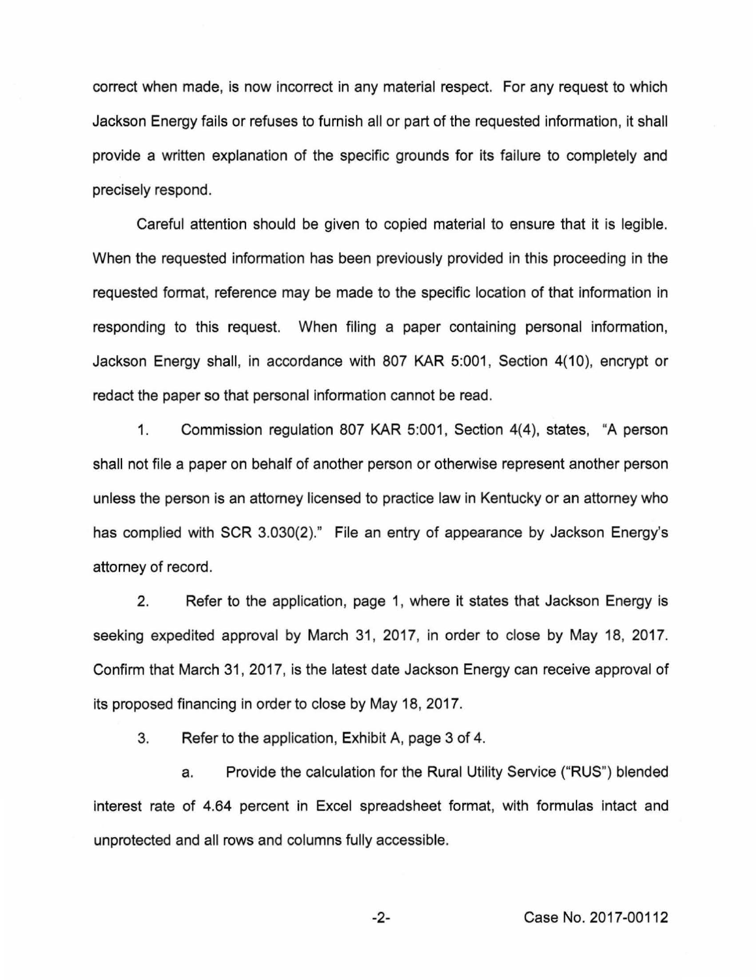correct when made, is now incorrect in any material respect. For any request to which Jackson Energy fails or refuses to furnish all or part of the requested information, it shall provide a written explanation of the specific grounds for its failure to completely and precisely respond.

Careful attention should be given to copied material to ensure that it is legible. When the requested information has been previously provided in this proceeding in the requested format, reference may be made to the specific location of that information in responding to this request. When filing a paper containing personal information, Jackson Energy shall, in accordance with 807 KAR 5:001, Section 4(10), encrypt or redact the paper so that personal information cannot be read.

1. Commission regulation 807 KAR 5:001, Section 4(4), states, "A person shall not file a paper on behalf of another person or otherwise represent another person unless the person is an attorney licensed to practice law in Kentucky or an attorney who has complied with SCR 3.030(2)." File an entry of appearance by Jackson Energy's attorney of record.

2. Refer to the application, page 1, where it states that Jackson Energy is seeking expedited approval by March 31, 2017, in order to close by May 18, 2017. Confirm that March 31, 2017, is the latest date Jackson Energy can receive approval of its proposed financing in order to close by May 18, 2017.

3. Refer to the application, Exhibit A, page 3 of 4.

a. Provide the calculation for the Rural Utility Service ("RUS") blended interest rate of 4.64 percent in Excel spreadsheet format, with formulas intact and unprotected and all rows and columns fully accessible.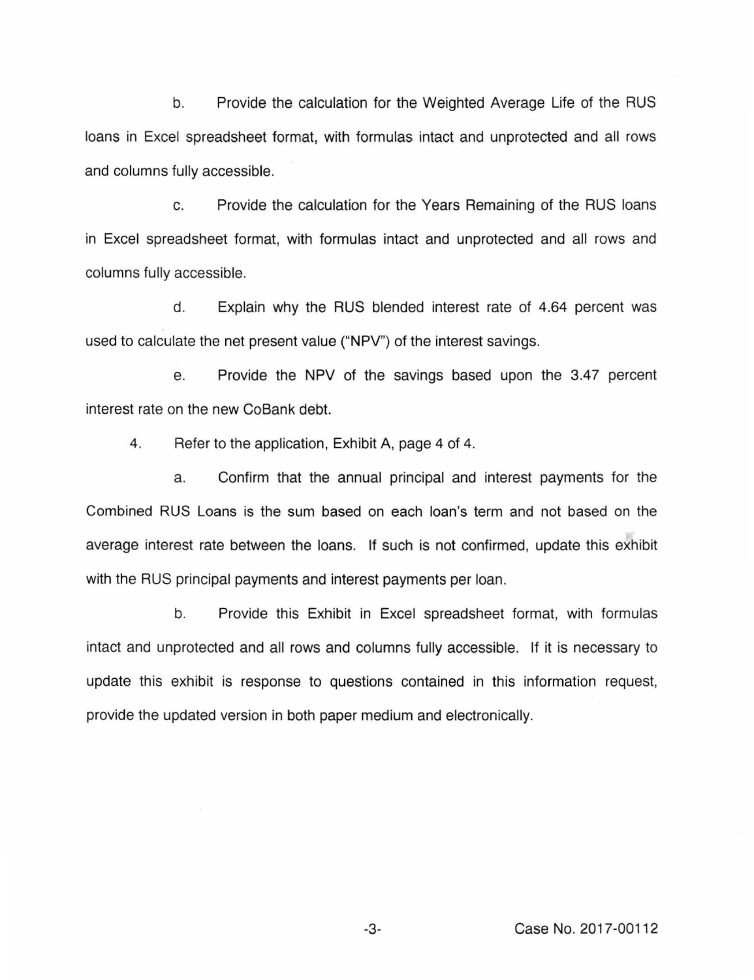b. Provide the calculation for the Weighted Average Life of the RUS loans in Excel spreadsheet format, with formulas intact and unprotected and all rows and columns fully accessible.

c. Provide the calculation for the Years Remaining of the RUS loans in Excel spreadsheet format, with formulas intact and unprotected and all rows and columns fully accessible.

d. Explain why the RUS blended interest rate of 4.64 percent was used to calculate the net present value ("NPV") of the interest savings.

e. Provide the NPV of the savings based upon the 3.47 percent interest rate on the new CoBank debt.

4. Refer to the application, Exhibit A, page 4 of 4.

a. Confirm that the annual principal and interest payments for the Combined RUS Loans is the sum based on each loan's term and not based on the average interest rate between the loans. If such is not confirmed, update this exhibit with the RUS principal payments and interest payments per loan.

b. Provide this Exhibit in Excel spreadsheet format, with formulas intact and unprotected and all rows and columns fully accessible. If it is necessary to update this exhibit is response to questions contained in this information request, provide the updated version in both paper medium and electronically.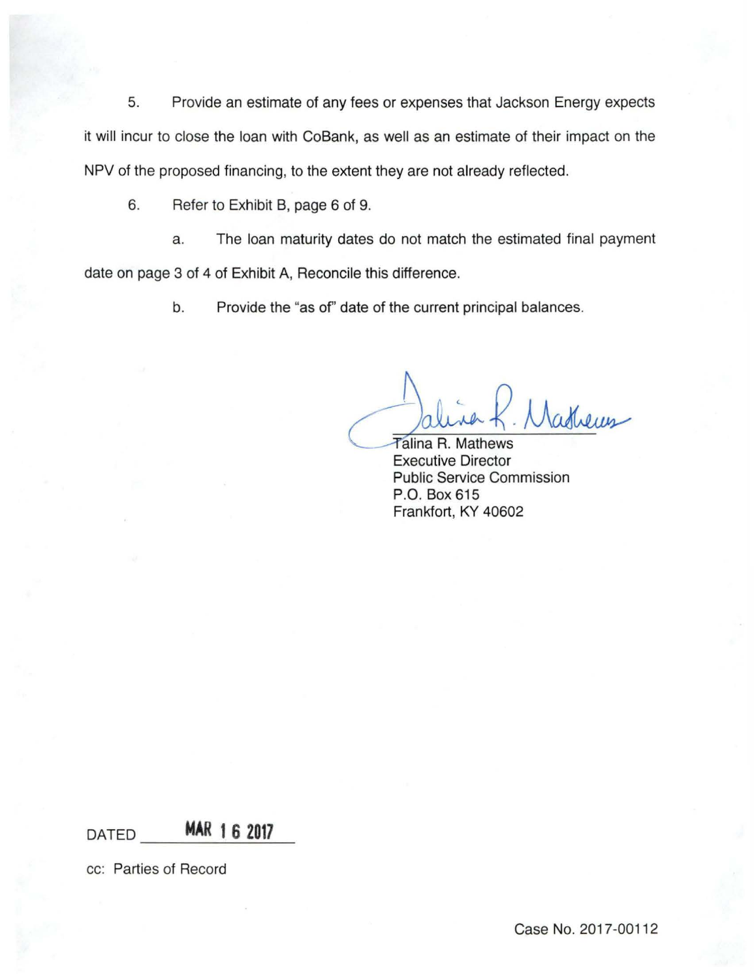5. Provide an estimate of any fees or expenses that Jackson Energy expects it will incur to close the loan with CoBank, as well as an estimate of their impact on the NPV of the proposed financing, to the extent they are not already reflected.

6. Refer to Exhibit B, page 6 of 9.

a. The loan maturity dates do not match the estimated final payment date on page 3 of 4 of Exhibit A, Reconcile this difference.

b. Provide the "as of' date of the current principal balances.

Nathems

Talina R. Mathews Executive Director Public Service Commission P.O. Box 615 Frankfort, KY 40602

DATED **MAR 1 6 2017** 

cc: Parties of Record